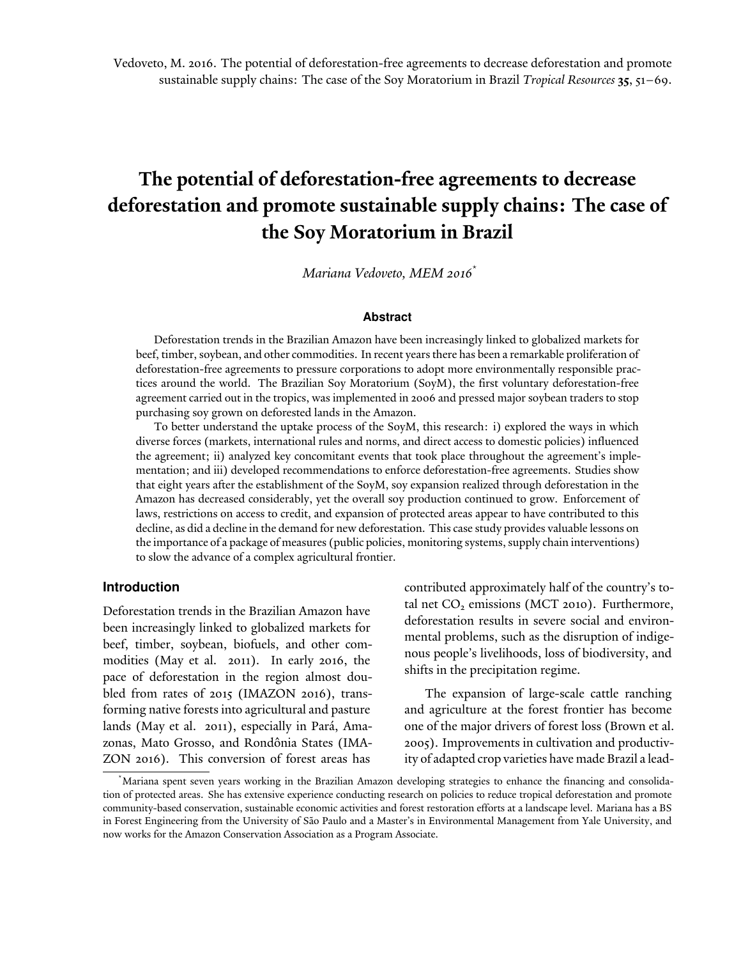# **The potential of deforestation-free agreements to decrease deforestation and promote sustainable supply chains: The case of the Soy Moratorium in Brazil**

*Mariana Vedoveto, MEM 2016*\*

#### **Abstract**

Deforestation trends in the Brazilian Amazon have been increasingly linked to globalized markets for beef, timber, soybean, and other commodities. In recent years there has been a remarkable proliferation of deforestation-free agreements to pressure corporations to adopt more environmentally responsible practices around the world. The Brazilian Soy Moratorium (SoyM), the first voluntary deforestation-free agreement carried out in the tropics, was implemented in 2006 and pressed major soybean traders to stop purchasing soy grown on deforested lands in the Amazon.

To better understand the uptake process of the SoyM, this research: i) explored the ways in which diverse forces (markets, international rules and norms, and direct access to domestic policies) influenced the agreement; ii) analyzed key concomitant events that took place throughout the agreement's implementation; and iii) developed recommendations to enforce deforestation-free agreements. Studies show that eight years after the establishment of the SoyM, soy expansion realized through deforestation in the Amazon has decreased considerably, yet the overall soy production continued to grow. Enforcement of laws, restrictions on access to credit, and expansion of protected areas appear to have contributed to this decline, as did a decline in the demand for new deforestation. This case study provides valuable lessons on the importance of a package of measures (public policies, monitoring systems, supply chain interventions) to slow the advance of a complex agricultural frontier.

## **Introduction**

Deforestation trends in the Brazilian Amazon have been increasingly linked to globalized markets for beef, timber, soybean, biofuels, and other commodities (May et al. 2011). In early 2016, the pace of deforestation in the region almost doubled from rates of 2015 (IMAZON 2016), transforming native forests into agricultural and pasture lands (May et al. 2011), especially in Pará, Amazonas, Mato Grosso, and Rondônia States (IMA-ZON 2016). This conversion of forest areas has

contributed approximately half of the country's total net  $CO<sub>2</sub>$  emissions (MCT 2010). Furthermore, deforestation results in severe social and environmental problems, such as the disruption of indigenous people's livelihoods, loss of biodiversity, and shifts in the precipitation regime.

The expansion of large-scale cattle ranching and agriculture at the forest frontier has become one of the major drivers of forest loss (Brown et al. 2005). Improvements in cultivation and productivity of adapted crop varieties have made Brazil a lead-

<sup>\*</sup>Mariana spent seven years working in the Brazilian Amazon developing strategies to enhance the financing and consolidation of protected areas. She has extensive experience conducting research on policies to reduce tropical deforestation and promote community-based conservation, sustainable economic activities and forest restoration efforts at a landscape level. Mariana has a BS in Forest Engineering from the University of São Paulo and a Master's in Environmental Management from Yale University, and now works for the Amazon Conservation Association as a Program Associate.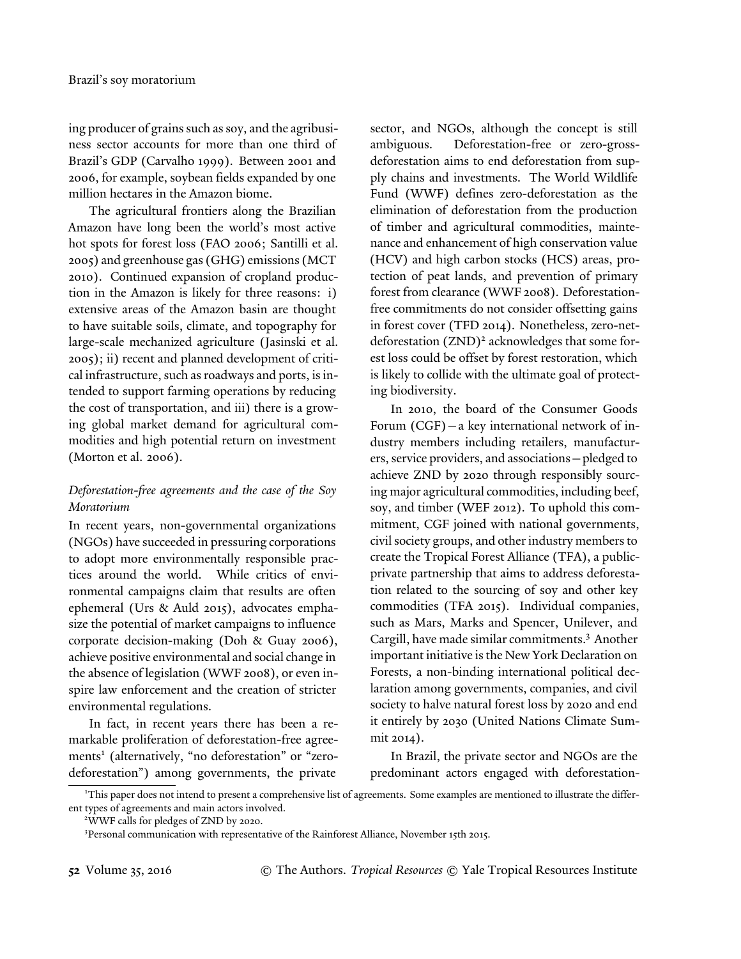ing producer of grains such as soy, and the agribusiness sector accounts for more than one third of Brazil's GDP (Carvalho 1999). Between 2001 and 2006, for example, soybean fields expanded by one million hectares in the Amazon biome.

The agricultural frontiers along the Brazilian Amazon have long been the world's most active hot spots for forest loss (FAO 2006; Santilli et al. 2005) and greenhouse gas (GHG) emissions (MCT 2010). Continued expansion of cropland production in the Amazon is likely for three reasons: i) extensive areas of the Amazon basin are thought to have suitable soils, climate, and topography for large-scale mechanized agriculture (Jasinski et al. 2005); ii) recent and planned development of critical infrastructure, such as roadways and ports, is intended to support farming operations by reducing the cost of transportation, and iii) there is a growing global market demand for agricultural commodities and high potential return on investment (Morton et al. 2006).

## *Deforestation-free agreements and the case of the Soy Moratorium*

In recent years, non-governmental organizations (NGOs) have succeeded in pressuring corporations to adopt more environmentally responsible practices around the world. While critics of environmental campaigns claim that results are often ephemeral (Urs & Auld 2015), advocates emphasize the potential of market campaigns to influence corporate decision-making (Doh & Guay 2006), achieve positive environmental and social change in the absence of legislation (WWF 2008), or even inspire law enforcement and the creation of stricter environmental regulations.

In fact, in recent years there has been a remarkable proliferation of deforestation-free agreements<sup>1</sup> (alternatively, "no deforestation" or "zerodeforestation") among governments, the private

sector, and NGOs, although the concept is still ambiguous. Deforestation-free or zero-grossdeforestation aims to end deforestation from supply chains and investments. The World Wildlife Fund (WWF) defines zero-deforestation as the elimination of deforestation from the production of timber and agricultural commodities, maintenance and enhancement of high conservation value (HCV) and high carbon stocks (HCS) areas, protection of peat lands, and prevention of primary forest from clearance (WWF 2008). Deforestationfree commitments do not consider offsetting gains in forest cover (TFD 2014). Nonetheless, zero-netdeforestation (ZND)<sup>2</sup> acknowledges that some forest loss could be offset by forest restoration, which is likely to collide with the ultimate goal of protecting biodiversity.

In 2010, the board of the Consumer Goods Forum (CGF)—a key international network of industry members including retailers, manufacturers, service providers, and associations—pledged to achieve ZND by 2020 through responsibly sourcing major agricultural commodities, including beef, soy, and timber (WEF 2012). To uphold this commitment, CGF joined with national governments, civil society groups, and other industry members to create the Tropical Forest Alliance (TFA), a publicprivate partnership that aims to address deforestation related to the sourcing of soy and other key commodities (TFA 2015). Individual companies, such as Mars, Marks and Spencer, Unilever, and Cargill, have made similar commitments.<sup>3</sup> Another important initiative is the New York Declaration on Forests, a non-binding international political declaration among governments, companies, and civil society to halve natural forest loss by 2020 and end it entirely by 2030 (United Nations Climate Summit 2014).

In Brazil, the private sector and NGOs are the predominant actors engaged with deforestation-

<sup>1</sup>This paper does not intend to present a comprehensive list of agreements. Some examples are mentioned to illustrate the different types of agreements and main actors involved.

<sup>2</sup>WWF calls for pledges of ZND by 2020.

<sup>&</sup>lt;sup>3</sup>Personal communication with representative of the Rainforest Alliance, November 15th 2015.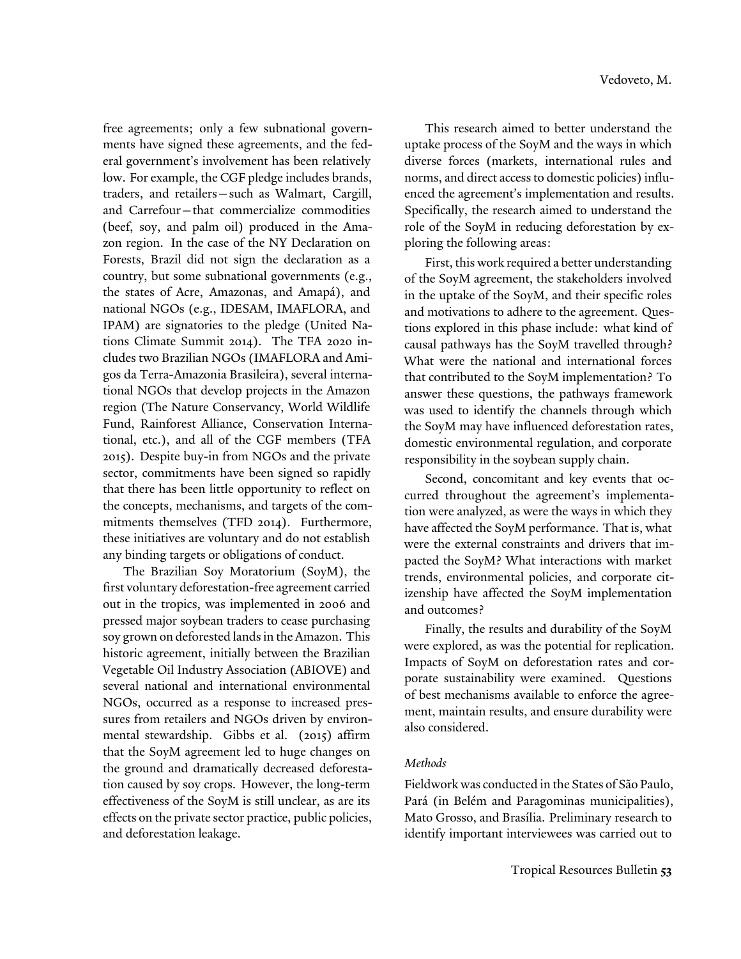free agreements; only a few subnational governments have signed these agreements, and the federal government's involvement has been relatively low. For example, the CGF pledge includes brands, traders, and retailers—such as Walmart, Cargill, and Carrefour—that commercialize commodities (beef, soy, and palm oil) produced in the Amazon region. In the case of the NY Declaration on Forests, Brazil did not sign the declaration as a country, but some subnational governments (e.g., the states of Acre, Amazonas, and Amapá), and national NGOs (e.g., IDESAM, IMAFLORA, and IPAM) are signatories to the pledge (United Nations Climate Summit 2014). The TFA 2020 includes two Brazilian NGOs (IMAFLORA and Amigos da Terra-Amazonia Brasileira), several international NGOs that develop projects in the Amazon region (The Nature Conservancy, World Wildlife Fund, Rainforest Alliance, Conservation International, etc.), and all of the CGF members (TFA 2015). Despite buy-in from NGOs and the private sector, commitments have been signed so rapidly that there has been little opportunity to reflect on the concepts, mechanisms, and targets of the commitments themselves (TFD 2014). Furthermore, these initiatives are voluntary and do not establish any binding targets or obligations of conduct.

The Brazilian Soy Moratorium (SoyM), the first voluntary deforestation-free agreement carried out in the tropics, was implemented in 2006 and pressed major soybean traders to cease purchasing soy grown on deforested lands in the Amazon. This historic agreement, initially between the Brazilian Vegetable Oil Industry Association (ABIOVE) and several national and international environmental NGOs, occurred as a response to increased pressures from retailers and NGOs driven by environmental stewardship. Gibbs et al. (2015) affirm that the SoyM agreement led to huge changes on the ground and dramatically decreased deforestation caused by soy crops. However, the long-term effectiveness of the SoyM is still unclear, as are its effects on the private sector practice, public policies, and deforestation leakage.

This research aimed to better understand the uptake process of the SoyM and the ways in which diverse forces (markets, international rules and norms, and direct access to domestic policies) influenced the agreement's implementation and results. Specifically, the research aimed to understand the role of the SoyM in reducing deforestation by exploring the following areas:

First, this work required a better understanding of the SoyM agreement, the stakeholders involved in the uptake of the SoyM, and their specific roles and motivations to adhere to the agreement. Questions explored in this phase include: what kind of causal pathways has the SoyM travelled through? What were the national and international forces that contributed to the SoyM implementation? To answer these questions, the pathways framework was used to identify the channels through which the SoyM may have influenced deforestation rates, domestic environmental regulation, and corporate responsibility in the soybean supply chain.

Second, concomitant and key events that occurred throughout the agreement's implementation were analyzed, as were the ways in which they have affected the SoyM performance. That is, what were the external constraints and drivers that impacted the SoyM? What interactions with market trends, environmental policies, and corporate citizenship have affected the SoyM implementation and outcomes?

Finally, the results and durability of the SoyM were explored, as was the potential for replication. Impacts of SoyM on deforestation rates and corporate sustainability were examined. Questions of best mechanisms available to enforce the agreement, maintain results, and ensure durability were also considered.

## *Methods*

Fieldwork was conducted in the States of São Paulo, Pará (in Belém and Paragominas municipalities), Mato Grosso, and Brasília. Preliminary research to identify important interviewees was carried out to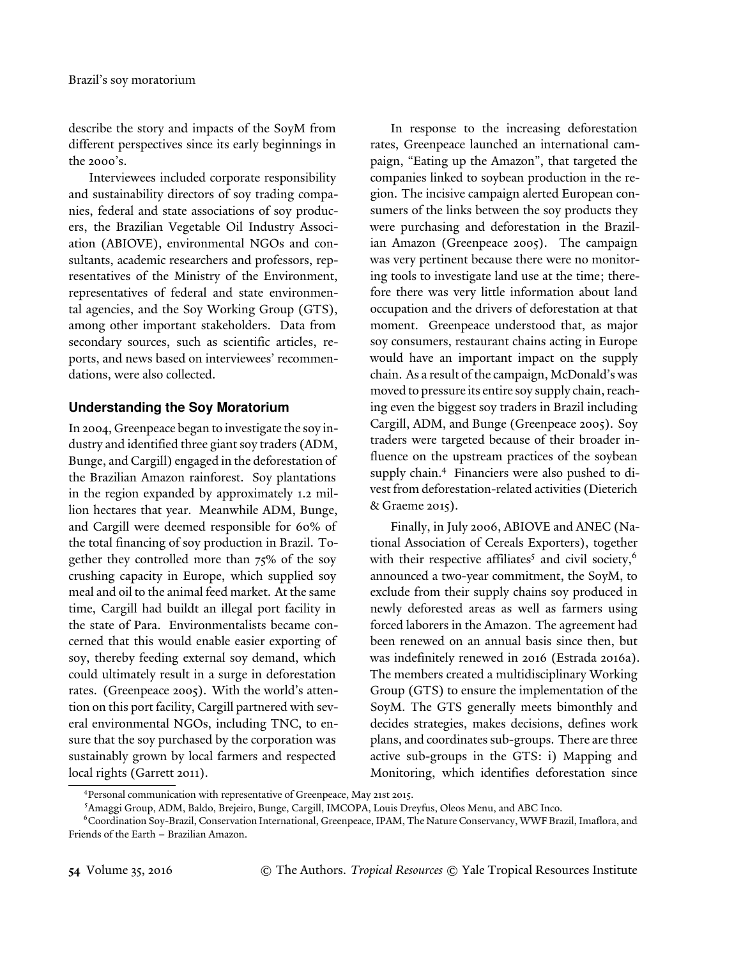describe the story and impacts of the SoyM from different perspectives since its early beginnings in the 2000's.

Interviewees included corporate responsibility and sustainability directors of soy trading companies, federal and state associations of soy producers, the Brazilian Vegetable Oil Industry Association (ABIOVE), environmental NGOs and consultants, academic researchers and professors, representatives of the Ministry of the Environment, representatives of federal and state environmental agencies, and the Soy Working Group (GTS), among other important stakeholders. Data from secondary sources, such as scientific articles, reports, and news based on interviewees' recommendations, were also collected.

## **Understanding the Soy Moratorium**

In 2004, Greenpeace began to investigate the soy industry and identified three giant soy traders (ADM, Bunge, and Cargill) engaged in the deforestation of the Brazilian Amazon rainforest. Soy plantations in the region expanded by approximately 1.2 million hectares that year. Meanwhile ADM, Bunge, and Cargill were deemed responsible for 60% of the total financing of soy production in Brazil. Together they controlled more than 75% of the soy crushing capacity in Europe, which supplied soy meal and oil to the animal feed market. At the same time, Cargill had buildt an illegal port facility in the state of Para. Environmentalists became concerned that this would enable easier exporting of soy, thereby feeding external soy demand, which could ultimately result in a surge in deforestation rates. (Greenpeace 2005). With the world's attention on this port facility, Cargill partnered with several environmental NGOs, including TNC, to ensure that the soy purchased by the corporation was sustainably grown by local farmers and respected local rights (Garrett 2011).

In response to the increasing deforestation rates, Greenpeace launched an international campaign, "Eating up the Amazon", that targeted the companies linked to soybean production in the region. The incisive campaign alerted European consumers of the links between the soy products they were purchasing and deforestation in the Brazilian Amazon (Greenpeace 2005). The campaign was very pertinent because there were no monitoring tools to investigate land use at the time; therefore there was very little information about land occupation and the drivers of deforestation at that moment. Greenpeace understood that, as major soy consumers, restaurant chains acting in Europe would have an important impact on the supply chain. As a result of the campaign, McDonald's was moved to pressure its entire soy supply chain, reaching even the biggest soy traders in Brazil including Cargill, ADM, and Bunge (Greenpeace 2005). Soy traders were targeted because of their broader influence on the upstream practices of the soybean supply chain.<sup>4</sup> Financiers were also pushed to divest from deforestation-related activities (Dieterich & Graeme 2015).

Finally, in July 2006, ABIOVE and ANEC (National Association of Cereals Exporters), together with their respective affiliates<sup>5</sup> and civil society,<sup>6</sup> announced a two-year commitment, the SoyM, to exclude from their supply chains soy produced in newly deforested areas as well as farmers using forced laborers in the Amazon. The agreement had been renewed on an annual basis since then, but was indefinitely renewed in 2016 (Estrada 2016a). The members created a multidisciplinary Working Group (GTS) to ensure the implementation of the SoyM. The GTS generally meets bimonthly and decides strategies, makes decisions, defines work plans, and coordinates sub-groups. There are three active sub-groups in the GTS: i) Mapping and Monitoring, which identifies deforestation since

<sup>4</sup> Personal communication with representative of Greenpeace, May 21st 2015.

<sup>5</sup>Amaggi Group, ADM, Baldo, Brejeiro, Bunge, Cargill, IMCOPA, Louis Dreyfus, Oleos Menu, and ABC Inco.

<sup>6</sup>Coordination Soy-Brazil, Conservation International, Greenpeace, IPAM, The Nature Conservancy, WWF Brazil, Imaflora, and Friends of the Earth – Brazilian Amazon.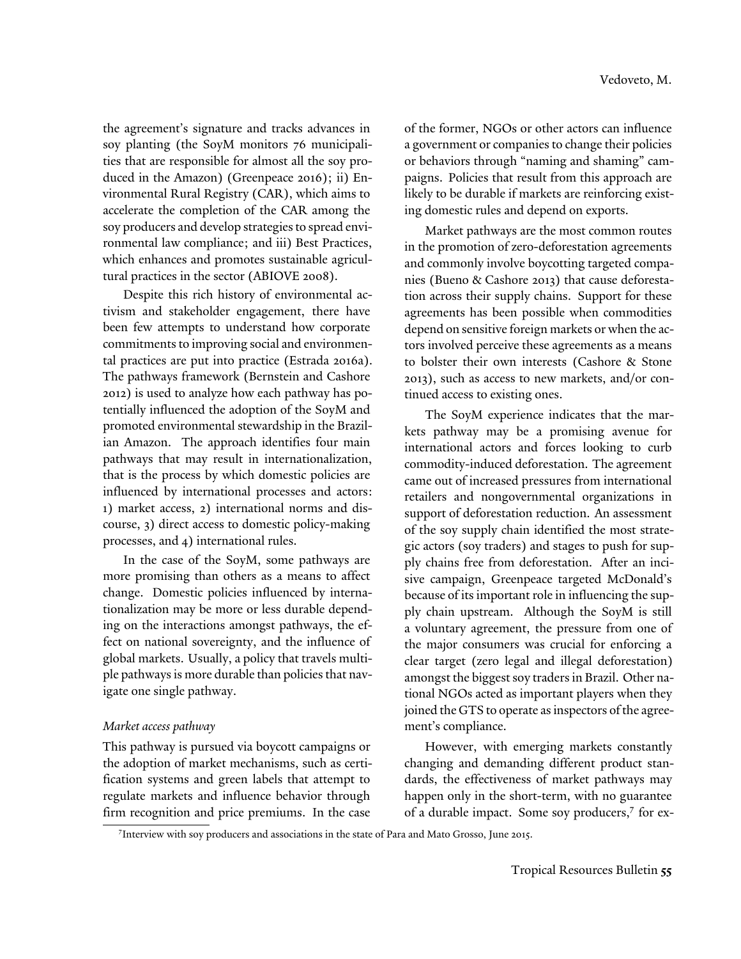the agreement's signature and tracks advances in soy planting (the SoyM monitors 76 municipalities that are responsible for almost all the soy produced in the Amazon) (Greenpeace 2016); ii) Environmental Rural Registry (CAR), which aims to accelerate the completion of the CAR among the soy producers and develop strategies to spread environmental law compliance; and iii) Best Practices, which enhances and promotes sustainable agricultural practices in the sector (ABIOVE 2008).

Despite this rich history of environmental activism and stakeholder engagement, there have been few attempts to understand how corporate commitments to improving social and environmental practices are put into practice (Estrada 2016a). The pathways framework (Bernstein and Cashore 2012) is used to analyze how each pathway has potentially influenced the adoption of the SoyM and promoted environmental stewardship in the Brazilian Amazon. The approach identifies four main pathways that may result in internationalization, that is the process by which domestic policies are influenced by international processes and actors: 1) market access, 2) international norms and discourse, 3) direct access to domestic policy-making processes, and 4) international rules.

In the case of the SoyM, some pathways are more promising than others as a means to affect change. Domestic policies influenced by internationalization may be more or less durable depending on the interactions amongst pathways, the effect on national sovereignty, and the influence of global markets. Usually, a policy that travels multiple pathways is more durable than policies that navigate one single pathway.

## *Market access pathway*

This pathway is pursued via boycott campaigns or the adoption of market mechanisms, such as certification systems and green labels that attempt to regulate markets and influence behavior through firm recognition and price premiums. In the case

of the former, NGOs or other actors can influence a government or companies to change their policies or behaviors through "naming and shaming" campaigns. Policies that result from this approach are likely to be durable if markets are reinforcing existing domestic rules and depend on exports.

Market pathways are the most common routes in the promotion of zero-deforestation agreements and commonly involve boycotting targeted companies (Bueno & Cashore 2013) that cause deforestation across their supply chains. Support for these agreements has been possible when commodities depend on sensitive foreign markets or when the actors involved perceive these agreements as a means to bolster their own interests (Cashore & Stone 2013), such as access to new markets, and/or continued access to existing ones.

The SoyM experience indicates that the markets pathway may be a promising avenue for international actors and forces looking to curb commodity-induced deforestation. The agreement came out of increased pressures from international retailers and nongovernmental organizations in support of deforestation reduction. An assessment of the soy supply chain identified the most strategic actors (soy traders) and stages to push for supply chains free from deforestation. After an incisive campaign, Greenpeace targeted McDonald's because of its important role in influencing the supply chain upstream. Although the SoyM is still a voluntary agreement, the pressure from one of the major consumers was crucial for enforcing a clear target (zero legal and illegal deforestation) amongst the biggest soy traders in Brazil. Other national NGOs acted as important players when they joined the GTS to operate as inspectors of the agreement's compliance.

However, with emerging markets constantly changing and demanding different product standards, the effectiveness of market pathways may happen only in the short-term, with no guarantee of a durable impact. Some soy producers,<sup>7</sup> for ex-

<sup>7</sup> Interview with soy producers and associations in the state of Para and Mato Grosso, June 2015.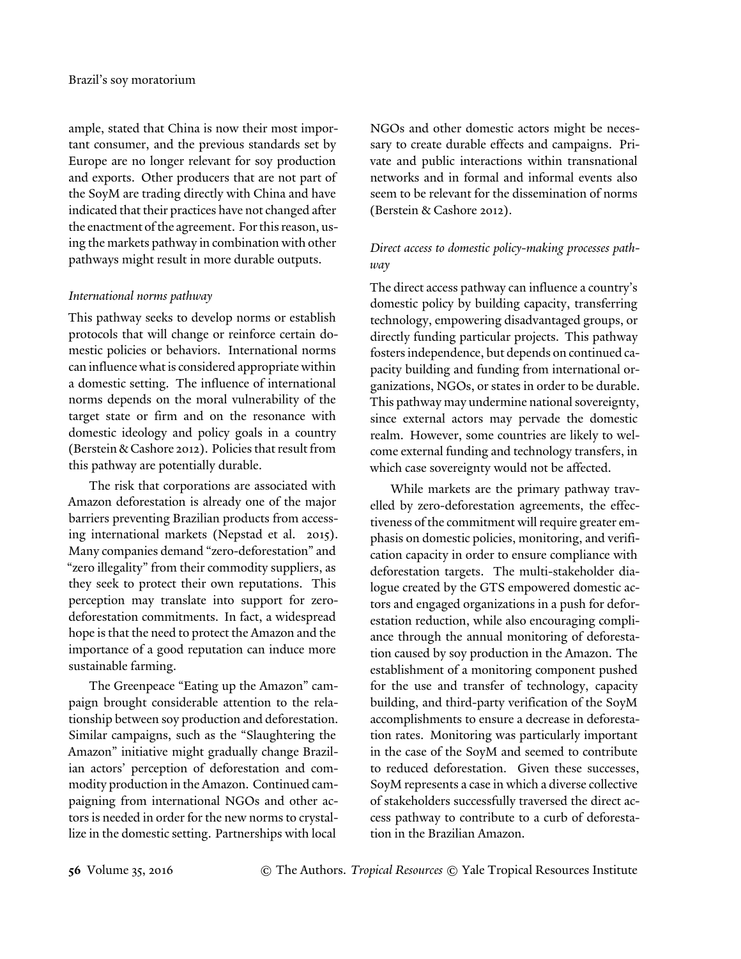ample, stated that China is now their most important consumer, and the previous standards set by Europe are no longer relevant for soy production and exports. Other producers that are not part of the SoyM are trading directly with China and have indicated that their practices have not changed after the enactment of the agreement. For this reason, using the markets pathway in combination with other pathways might result in more durable outputs.

## *International norms pathway*

This pathway seeks to develop norms or establish protocols that will change or reinforce certain domestic policies or behaviors. International norms can influence what is considered appropriate within a domestic setting. The influence of international norms depends on the moral vulnerability of the target state or firm and on the resonance with domestic ideology and policy goals in a country (Berstein & Cashore 2012). Policies that result from this pathway are potentially durable.

The risk that corporations are associated with Amazon deforestation is already one of the major barriers preventing Brazilian products from accessing international markets (Nepstad et al. 2015). Many companies demand "zero-deforestation" and "zero illegality" from their commodity suppliers, as they seek to protect their own reputations. This perception may translate into support for zerodeforestation commitments. In fact, a widespread hope is that the need to protect the Amazon and the importance of a good reputation can induce more sustainable farming.

The Greenpeace "Eating up the Amazon" campaign brought considerable attention to the relationship between soy production and deforestation. Similar campaigns, such as the "Slaughtering the Amazon" initiative might gradually change Brazilian actors' perception of deforestation and commodity production in the Amazon. Continued campaigning from international NGOs and other actors is needed in order for the new norms to crystallize in the domestic setting. Partnerships with local

NGOs and other domestic actors might be necessary to create durable effects and campaigns. Private and public interactions within transnational networks and in formal and informal events also seem to be relevant for the dissemination of norms (Berstein & Cashore 2012).

# *Direct access to domestic policy-making processes pathway*

The direct access pathway can influence a country's domestic policy by building capacity, transferring technology, empowering disadvantaged groups, or directly funding particular projects. This pathway fosters independence, but depends on continued capacity building and funding from international organizations, NGOs, or states in order to be durable. This pathway may undermine national sovereignty, since external actors may pervade the domestic realm. However, some countries are likely to welcome external funding and technology transfers, in which case sovereignty would not be affected.

While markets are the primary pathway travelled by zero-deforestation agreements, the effectiveness of the commitment will require greater emphasis on domestic policies, monitoring, and verification capacity in order to ensure compliance with deforestation targets. The multi-stakeholder dialogue created by the GTS empowered domestic actors and engaged organizations in a push for deforestation reduction, while also encouraging compliance through the annual monitoring of deforestation caused by soy production in the Amazon. The establishment of a monitoring component pushed for the use and transfer of technology, capacity building, and third-party verification of the SoyM accomplishments to ensure a decrease in deforestation rates. Monitoring was particularly important in the case of the SoyM and seemed to contribute to reduced deforestation. Given these successes, SoyM represents a case in which a diverse collective of stakeholders successfully traversed the direct access pathway to contribute to a curb of deforestation in the Brazilian Amazon.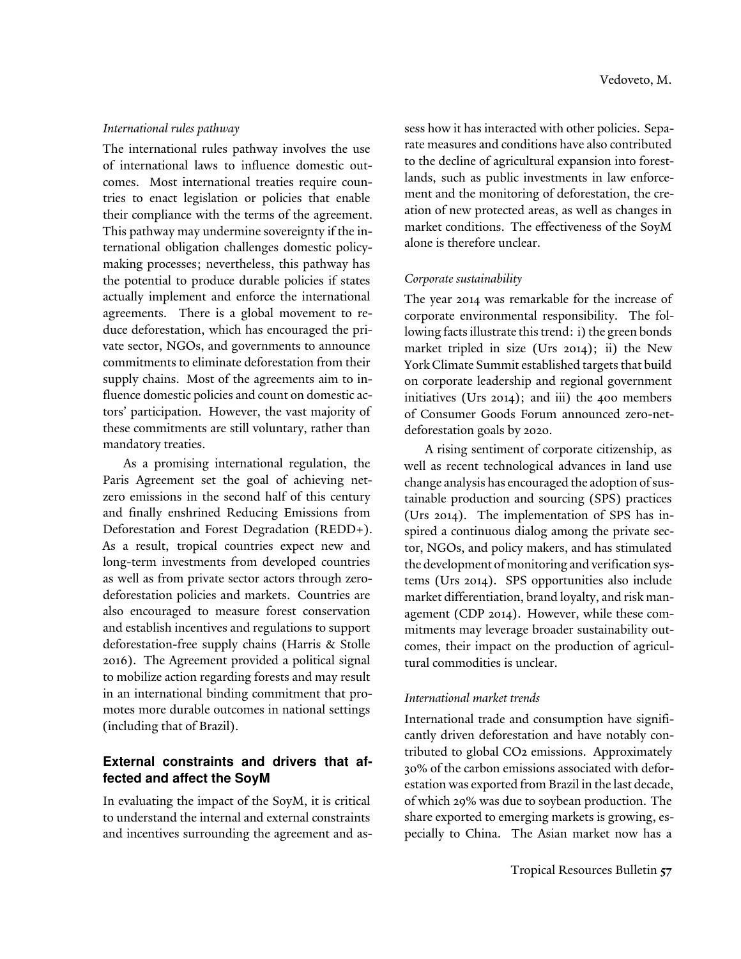## *International rules pathway*

The international rules pathway involves the use of international laws to influence domestic outcomes. Most international treaties require countries to enact legislation or policies that enable their compliance with the terms of the agreement. This pathway may undermine sovereignty if the international obligation challenges domestic policymaking processes; nevertheless, this pathway has the potential to produce durable policies if states actually implement and enforce the international agreements. There is a global movement to reduce deforestation, which has encouraged the private sector, NGOs, and governments to announce commitments to eliminate deforestation from their supply chains. Most of the agreements aim to influence domestic policies and count on domestic actors' participation. However, the vast majority of these commitments are still voluntary, rather than mandatory treaties.

As a promising international regulation, the Paris Agreement set the goal of achieving netzero emissions in the second half of this century and finally enshrined Reducing Emissions from Deforestation and Forest Degradation (REDD+). As a result, tropical countries expect new and long-term investments from developed countries as well as from private sector actors through zerodeforestation policies and markets. Countries are also encouraged to measure forest conservation and establish incentives and regulations to support deforestation-free supply chains (Harris & Stolle 2016). The Agreement provided a political signal to mobilize action regarding forests and may result in an international binding commitment that promotes more durable outcomes in national settings (including that of Brazil).

# **External constraints and drivers that affected and affect the SoyM**

In evaluating the impact of the SoyM, it is critical to understand the internal and external constraints and incentives surrounding the agreement and assess how it has interacted with other policies. Separate measures and conditions have also contributed to the decline of agricultural expansion into forestlands, such as public investments in law enforcement and the monitoring of deforestation, the creation of new protected areas, as well as changes in market conditions. The effectiveness of the SoyM alone is therefore unclear.

## *Corporate sustainability*

The year 2014 was remarkable for the increase of corporate environmental responsibility. The following facts illustrate this trend: i) the green bonds market tripled in size (Urs 2014); ii) the New York Climate Summit established targets that build on corporate leadership and regional government initiatives (Urs 2014); and iii) the 400 members of Consumer Goods Forum announced zero-netdeforestation goals by 2020.

A rising sentiment of corporate citizenship, as well as recent technological advances in land use change analysis has encouraged the adoption of sustainable production and sourcing (SPS) practices (Urs 2014). The implementation of SPS has inspired a continuous dialog among the private sector, NGOs, and policy makers, and has stimulated the development of monitoring and verification systems (Urs 2014). SPS opportunities also include market differentiation, brand loyalty, and risk management (CDP 2014). However, while these commitments may leverage broader sustainability outcomes, their impact on the production of agricultural commodities is unclear.

## *International market trends*

International trade and consumption have significantly driven deforestation and have notably contributed to global CO2 emissions. Approximately 30% of the carbon emissions associated with deforestation was exported from Brazil in the last decade, of which 29% was due to soybean production. The share exported to emerging markets is growing, especially to China. The Asian market now has a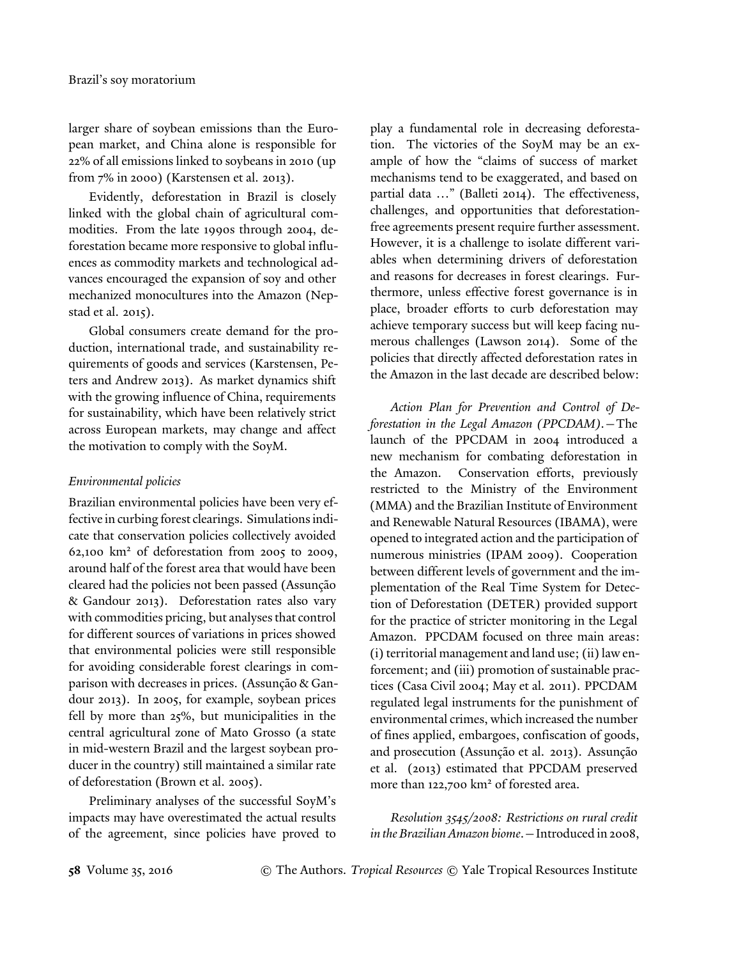larger share of soybean emissions than the European market, and China alone is responsible for 22% of all emissions linked to soybeans in 2010 (up from 7% in 2000) (Karstensen et al. 2013).

Evidently, deforestation in Brazil is closely linked with the global chain of agricultural commodities. From the late 1990s through 2004, deforestation became more responsive to global influences as commodity markets and technological advances encouraged the expansion of soy and other mechanized monocultures into the Amazon (Nepstad et al. 2015).

Global consumers create demand for the production, international trade, and sustainability requirements of goods and services (Karstensen, Peters and Andrew 2013). As market dynamics shift with the growing influence of China, requirements for sustainability, which have been relatively strict across European markets, may change and affect the motivation to comply with the SoyM.

## *Environmental policies*

Brazilian environmental policies have been very effective in curbing forest clearings. Simulations indicate that conservation policies collectively avoided  $62,100$  km<sup>2</sup> of deforestation from 2005 to 2009, around half of the forest area that would have been cleared had the policies not been passed (Assunção & Gandour 2013). Deforestation rates also vary with commodities pricing, but analyses that control for different sources of variations in prices showed that environmental policies were still responsible for avoiding considerable forest clearings in comparison with decreases in prices. (Assunção & Gandour 2013). In 2005, for example, soybean prices fell by more than 25%, but municipalities in the central agricultural zone of Mato Grosso (a state in mid-western Brazil and the largest soybean producer in the country) still maintained a similar rate of deforestation (Brown et al. 2005).

Preliminary analyses of the successful SoyM's impacts may have overestimated the actual results of the agreement, since policies have proved to

play a fundamental role in decreasing deforestation. The victories of the SoyM may be an example of how the "claims of success of market mechanisms tend to be exaggerated, and based on partial data …" (Balleti 2014). The effectiveness, challenges, and opportunities that deforestationfree agreements present require further assessment. However, it is a challenge to isolate different variables when determining drivers of deforestation and reasons for decreases in forest clearings. Furthermore, unless effective forest governance is in place, broader efforts to curb deforestation may achieve temporary success but will keep facing numerous challenges (Lawson 2014). Some of the policies that directly affected deforestation rates in the Amazon in the last decade are described below:

*Action Plan for Prevention and Control of Deforestation in the Legal Amazon (PPCDAM)*.—The launch of the PPCDAM in 2004 introduced a new mechanism for combating deforestation in the Amazon. Conservation efforts, previously restricted to the Ministry of the Environment (MMA) and the Brazilian Institute of Environment and Renewable Natural Resources (IBAMA), were opened to integrated action and the participation of numerous ministries (IPAM 2009). Cooperation between different levels of government and the implementation of the Real Time System for Detection of Deforestation (DETER) provided support for the practice of stricter monitoring in the Legal Amazon. PPCDAM focused on three main areas: (i) territorial management and land use; (ii) law enforcement; and (iii) promotion of sustainable practices (Casa Civil 2004; May et al. 2011). PPCDAM regulated legal instruments for the punishment of environmental crimes, which increased the number of fines applied, embargoes, confiscation of goods, and prosecution (Assunção et al. 2013). Assunção et al. (2013) estimated that PPCDAM preserved more than 122,700 km<sup>2</sup> of forested area.

*Resolution 3545/2008: Restrictions on rural credit in the Brazilian Amazon biome*.—Introduced in 2008,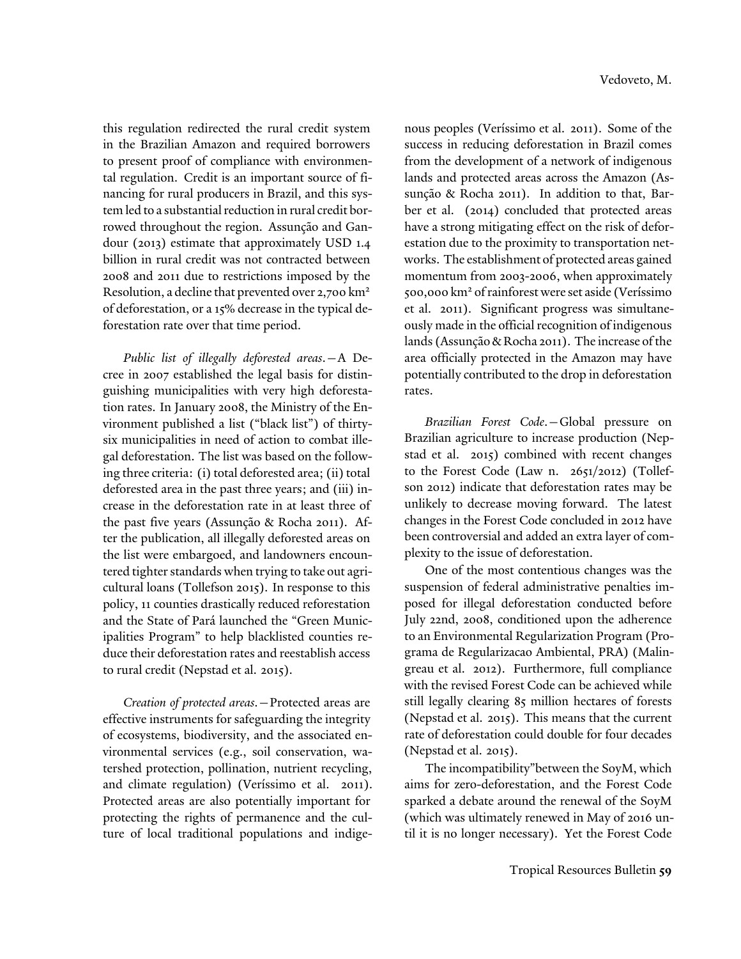this regulation redirected the rural credit system in the Brazilian Amazon and required borrowers to present proof of compliance with environmental regulation. Credit is an important source of financing for rural producers in Brazil, and this system led to a substantial reduction in rural credit borrowed throughout the region. Assunção and Gandour (2013) estimate that approximately USD 1.4 billion in rural credit was not contracted between 2008 and 2011 due to restrictions imposed by the Resolution, a decline that prevented over 2,700 km<sup>2</sup> of deforestation, or a 15% decrease in the typical deforestation rate over that time period.

*Public list of illegally deforested areas*.—A Decree in 2007 established the legal basis for distinguishing municipalities with very high deforestation rates. In January 2008, the Ministry of the Environment published a list ("black list") of thirtysix municipalities in need of action to combat illegal deforestation. The list was based on the following three criteria: (i) total deforested area; (ii) total deforested area in the past three years; and (iii) increase in the deforestation rate in at least three of the past five years (Assunção & Rocha 2011). After the publication, all illegally deforested areas on the list were embargoed, and landowners encountered tighter standards when trying to take out agricultural loans (Tollefson 2015). In response to this policy, 11 counties drastically reduced reforestation and the State of Pará launched the "Green Municipalities Program" to help blacklisted counties reduce their deforestation rates and reestablish access to rural credit (Nepstad et al. 2015).

*Creation of protected areas*.—Protected areas are effective instruments for safeguarding the integrity of ecosystems, biodiversity, and the associated environmental services (e.g., soil conservation, watershed protection, pollination, nutrient recycling, and climate regulation) (Veríssimo et al. 2011). Protected areas are also potentially important for protecting the rights of permanence and the culture of local traditional populations and indige-

nous peoples (Veríssimo et al. 2011). Some of the success in reducing deforestation in Brazil comes from the development of a network of indigenous lands and protected areas across the Amazon (Assunção & Rocha 2011). In addition to that, Barber et al. (2014) concluded that protected areas have a strong mitigating effect on the risk of deforestation due to the proximity to transportation networks. The establishment of protected areas gained momentum from 2003-2006, when approximately 500,000 km<sup>2</sup> of rainforest were set aside (Veríssimo et al. 2011). Significant progress was simultaneously made in the official recognition of indigenous lands (Assunção & Rocha 2011). The increase of the area officially protected in the Amazon may have potentially contributed to the drop in deforestation rates.

*Brazilian Forest Code*.—Global pressure on Brazilian agriculture to increase production (Nepstad et al. 2015) combined with recent changes to the Forest Code (Law n. 2651/2012) (Tollefson 2012) indicate that deforestation rates may be unlikely to decrease moving forward. The latest changes in the Forest Code concluded in 2012 have been controversial and added an extra layer of complexity to the issue of deforestation.

One of the most contentious changes was the suspension of federal administrative penalties imposed for illegal deforestation conducted before July 22nd, 2008, conditioned upon the adherence to an Environmental Regularization Program (Programa de Regularizacao Ambiental, PRA) (Malingreau et al. 2012). Furthermore, full compliance with the revised Forest Code can be achieved while still legally clearing 85 million hectares of forests (Nepstad et al. 2015). This means that the current rate of deforestation could double for four decades (Nepstad et al. 2015).

The incompatibility"between the SoyM, which aims for zero-deforestation, and the Forest Code sparked a debate around the renewal of the SoyM (which was ultimately renewed in May of 2016 until it is no longer necessary). Yet the Forest Code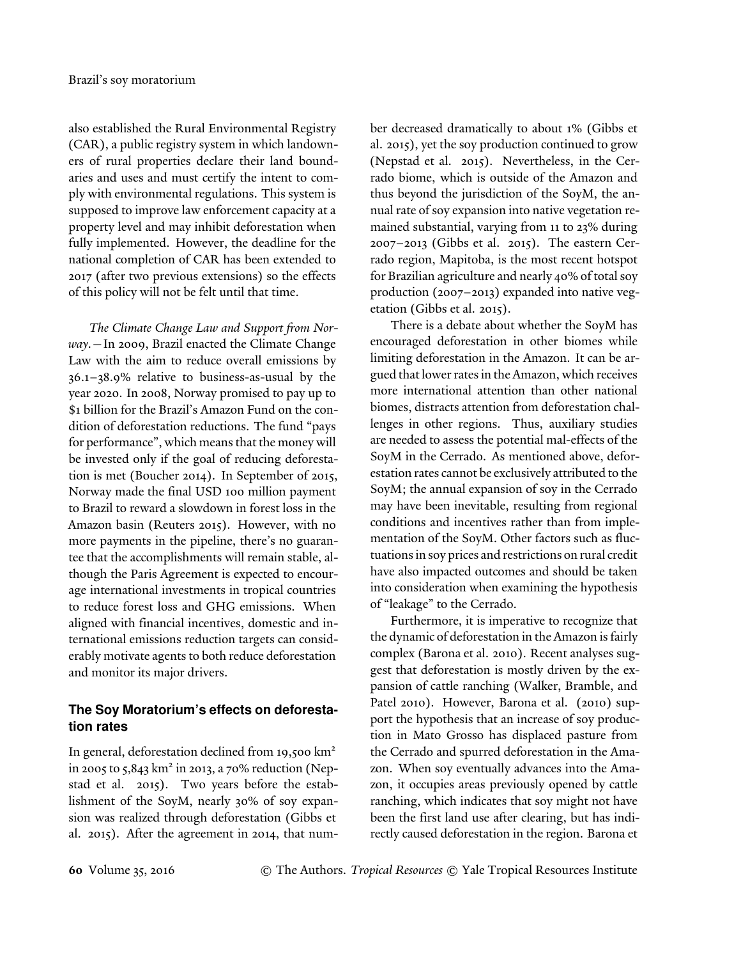also established the Rural Environmental Registry (CAR), a public registry system in which landowners of rural properties declare their land boundaries and uses and must certify the intent to comply with environmental regulations. This system is supposed to improve law enforcement capacity at a property level and may inhibit deforestation when fully implemented. However, the deadline for the national completion of CAR has been extended to 2017 (after two previous extensions) so the effects of this policy will not be felt until that time.

*The Climate Change Law and Support from Norway*.—In 2009, Brazil enacted the Climate Change Law with the aim to reduce overall emissions by 36.1–38.9% relative to business-as-usual by the year 2020. In 2008, Norway promised to pay up to \$1 billion for the Brazil's Amazon Fund on the condition of deforestation reductions. The fund "pays for performance", which means that the money will be invested only if the goal of reducing deforestation is met (Boucher 2014). In September of 2015, Norway made the final USD 100 million payment to Brazil to reward a slowdown in forest loss in the Amazon basin (Reuters 2015). However, with no more payments in the pipeline, there's no guarantee that the accomplishments will remain stable, although the Paris Agreement is expected to encourage international investments in tropical countries to reduce forest loss and GHG emissions. When aligned with financial incentives, domestic and international emissions reduction targets can considerably motivate agents to both reduce deforestation and monitor its major drivers.

# **The Soy Moratorium's effects on deforestation rates**

In general, deforestation declined from 19,500 km<sup>2</sup> in 2005 to 5,843 km<sup>2</sup> in 2013, a 70% reduction (Nepstad et al. 2015). Two years before the establishment of the SoyM, nearly 30% of soy expansion was realized through deforestation (Gibbs et al. 2015). After the agreement in 2014, that number decreased dramatically to about 1% (Gibbs et al. 2015), yet the soy production continued to grow (Nepstad et al. 2015). Nevertheless, in the Cerrado biome, which is outside of the Amazon and thus beyond the jurisdiction of the SoyM, the annual rate of soy expansion into native vegetation remained substantial, varying from 11 to 23% during 2007–2013 (Gibbs et al. 2015). The eastern Cerrado region, Mapitoba, is the most recent hotspot for Brazilian agriculture and nearly 40% of total soy production (2007–2013) expanded into native vegetation (Gibbs et al. 2015).

There is a debate about whether the SoyM has encouraged deforestation in other biomes while limiting deforestation in the Amazon. It can be argued that lower rates in the Amazon, which receives more international attention than other national biomes, distracts attention from deforestation challenges in other regions. Thus, auxiliary studies are needed to assess the potential mal-effects of the SoyM in the Cerrado. As mentioned above, deforestation rates cannot be exclusively attributed to the SoyM; the annual expansion of soy in the Cerrado may have been inevitable, resulting from regional conditions and incentives rather than from implementation of the SoyM. Other factors such as fluctuations in soy prices and restrictions on rural credit have also impacted outcomes and should be taken into consideration when examining the hypothesis of "leakage" to the Cerrado.

Furthermore, it is imperative to recognize that the dynamic of deforestation in the Amazon is fairly complex (Barona et al. 2010). Recent analyses suggest that deforestation is mostly driven by the expansion of cattle ranching (Walker, Bramble, and Patel 2010). However, Barona et al. (2010) support the hypothesis that an increase of soy production in Mato Grosso has displaced pasture from the Cerrado and spurred deforestation in the Amazon. When soy eventually advances into the Amazon, it occupies areas previously opened by cattle ranching, which indicates that soy might not have been the first land use after clearing, but has indirectly caused deforestation in the region. Barona et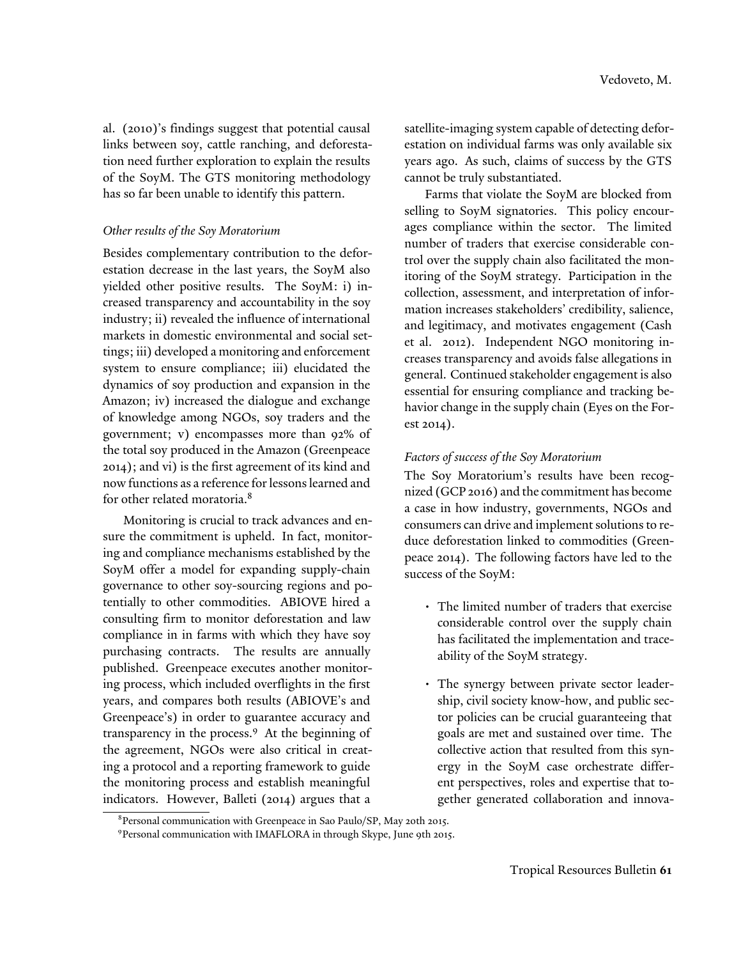al. (2010)'s findings suggest that potential causal links between soy, cattle ranching, and deforestation need further exploration to explain the results of the SoyM. The GTS monitoring methodology has so far been unable to identify this pattern.

## *Other results of the Soy Moratorium*

Besides complementary contribution to the deforestation decrease in the last years, the SoyM also yielded other positive results. The SoyM: i) increased transparency and accountability in the soy industry; ii) revealed the influence of international markets in domestic environmental and social settings; iii) developed a monitoring and enforcement system to ensure compliance; iii) elucidated the dynamics of soy production and expansion in the Amazon; iv) increased the dialogue and exchange of knowledge among NGOs, soy traders and the government; v) encompasses more than 92% of the total soy produced in the Amazon (Greenpeace 2014); and vi) is the first agreement of its kind and now functions as a reference for lessons learned and for other related moratoria.<sup>8</sup>

Monitoring is crucial to track advances and ensure the commitment is upheld. In fact, monitoring and compliance mechanisms established by the SoyM offer a model for expanding supply-chain governance to other soy-sourcing regions and potentially to other commodities. ABIOVE hired a consulting firm to monitor deforestation and law compliance in in farms with which they have soy purchasing contracts. The results are annually published. Greenpeace executes another monitoring process, which included overflights in the first years, and compares both results (ABIOVE's and Greenpeace's) in order to guarantee accuracy and transparency in the process.<sup>9</sup> At the beginning of the agreement, NGOs were also critical in creating a protocol and a reporting framework to guide the monitoring process and establish meaningful indicators. However, Balleti (2014) argues that a

satellite-imaging system capable of detecting deforestation on individual farms was only available six years ago. As such, claims of success by the GTS cannot be truly substantiated.

Farms that violate the SoyM are blocked from selling to SoyM signatories. This policy encourages compliance within the sector. The limited number of traders that exercise considerable control over the supply chain also facilitated the monitoring of the SoyM strategy. Participation in the collection, assessment, and interpretation of information increases stakeholders' credibility, salience, and legitimacy, and motivates engagement (Cash et al. 2012). Independent NGO monitoring increases transparency and avoids false allegations in general. Continued stakeholder engagement is also essential for ensuring compliance and tracking behavior change in the supply chain (Eyes on the Forest 2014).

## *Factors of success of the Soy Moratorium*

The Soy Moratorium's results have been recognized (GCP 2016) and the commitment has become a case in how industry, governments, NGOs and consumers can drive and implement solutions to reduce deforestation linked to commodities (Greenpeace 2014). The following factors have led to the success of the SoyM:

- The limited number of traders that exercise considerable control over the supply chain has facilitated the implementation and traceability of the SoyM strategy.
- The synergy between private sector leadership, civil society know-how, and public sector policies can be crucial guaranteeing that goals are met and sustained over time. The collective action that resulted from this synergy in the SoyM case orchestrate different perspectives, roles and expertise that together generated collaboration and innova-

<sup>8</sup> Personal communication with Greenpeace in Sao Paulo/SP, May 20th 2015.

<sup>9</sup> Personal communication with IMAFLORA in through Skype, June 9th 2015.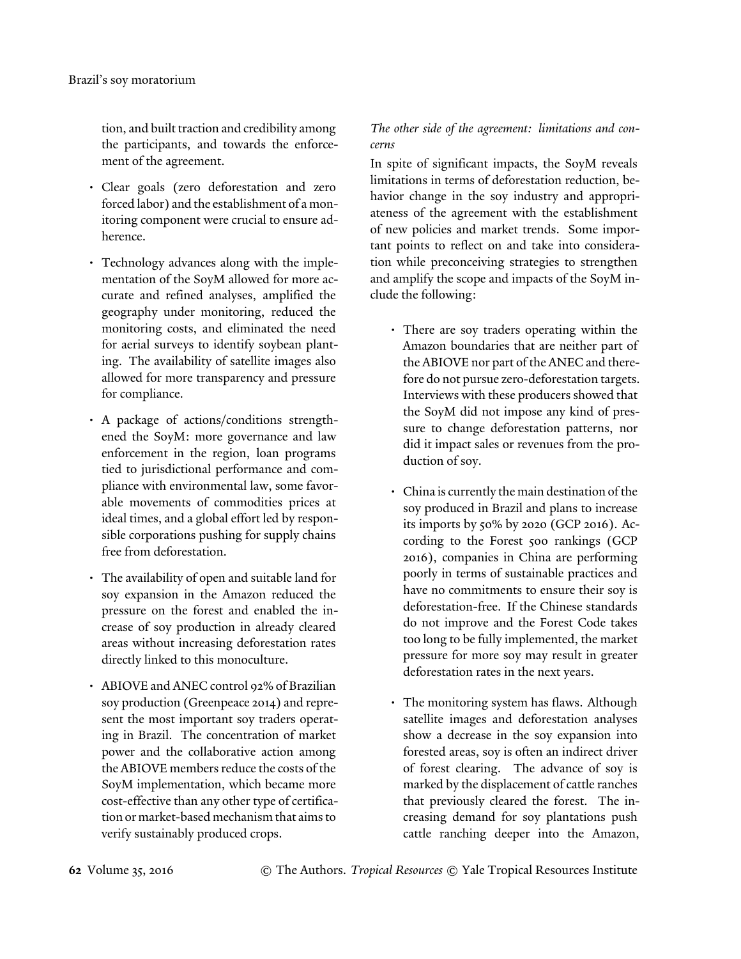tion, and built traction and credibility among the participants, and towards the enforcement of the agreement.

- Clear goals (zero deforestation and zero forced labor) and the establishment of a monitoring component were crucial to ensure adherence.
- Technology advances along with the implementation of the SoyM allowed for more accurate and refined analyses, amplified the geography under monitoring, reduced the monitoring costs, and eliminated the need for aerial surveys to identify soybean planting. The availability of satellite images also allowed for more transparency and pressure for compliance.
- A package of actions/conditions strengthened the SoyM: more governance and law enforcement in the region, loan programs tied to jurisdictional performance and compliance with environmental law, some favorable movements of commodities prices at ideal times, and a global effort led by responsible corporations pushing for supply chains free from deforestation.
- The availability of open and suitable land for soy expansion in the Amazon reduced the pressure on the forest and enabled the increase of soy production in already cleared areas without increasing deforestation rates directly linked to this monoculture.
- ABIOVE and ANEC control 92% of Brazilian soy production (Greenpeace 2014) and represent the most important soy traders operating in Brazil. The concentration of market power and the collaborative action among the ABIOVE members reduce the costs of the SoyM implementation, which became more cost-effective than any other type of certification or market-based mechanism that aims to verify sustainably produced crops.

*The other side of the agreement: limitations and concerns*

In spite of significant impacts, the SoyM reveals limitations in terms of deforestation reduction, behavior change in the soy industry and appropriateness of the agreement with the establishment of new policies and market trends. Some important points to reflect on and take into consideration while preconceiving strategies to strengthen and amplify the scope and impacts of the SoyM include the following:

- There are soy traders operating within the Amazon boundaries that are neither part of the ABIOVE nor part of the ANEC and therefore do not pursue zero-deforestation targets. Interviews with these producers showed that the SoyM did not impose any kind of pressure to change deforestation patterns, nor did it impact sales or revenues from the production of soy.
- China is currently the main destination of the soy produced in Brazil and plans to increase its imports by 50% by 2020 (GCP 2016). According to the Forest 500 rankings (GCP 2016), companies in China are performing poorly in terms of sustainable practices and have no commitments to ensure their soy is deforestation-free. If the Chinese standards do not improve and the Forest Code takes too long to be fully implemented, the market pressure for more soy may result in greater deforestation rates in the next years.
- The monitoring system has flaws. Although satellite images and deforestation analyses show a decrease in the soy expansion into forested areas, soy is often an indirect driver of forest clearing. The advance of soy is marked by the displacement of cattle ranches that previously cleared the forest. The increasing demand for soy plantations push cattle ranching deeper into the Amazon,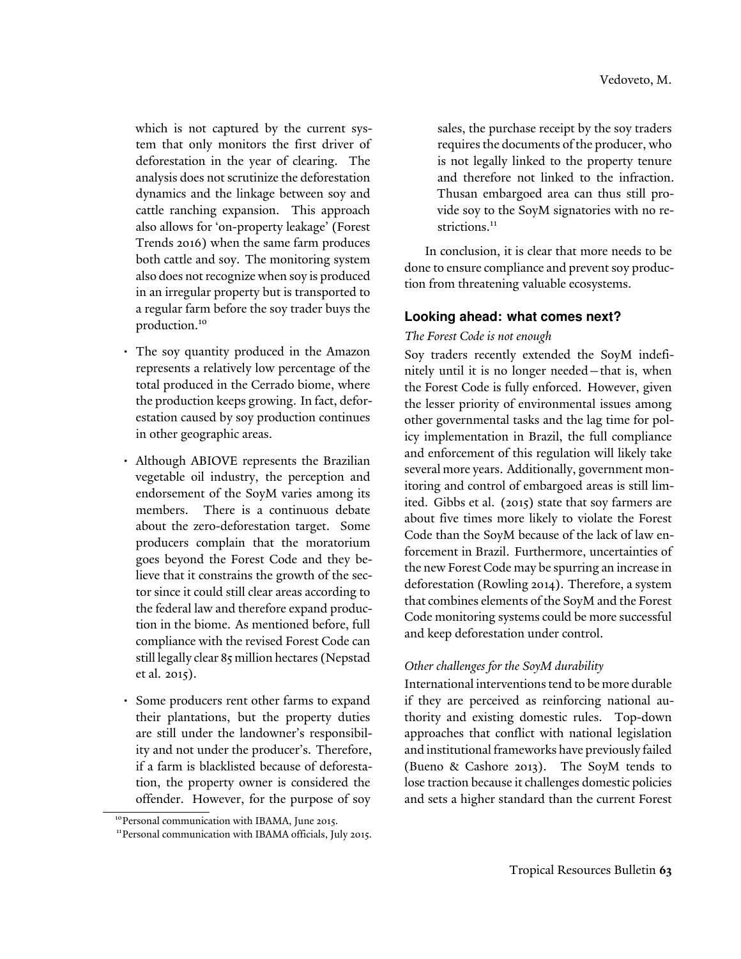which is not captured by the current system that only monitors the first driver of deforestation in the year of clearing. The analysis does not scrutinize the deforestation dynamics and the linkage between soy and cattle ranching expansion. This approach also allows for 'on-property leakage' (Forest Trends 2016) when the same farm produces both cattle and soy. The monitoring system also does not recognize when soy is produced in an irregular property but is transported to a regular farm before the soy trader buys the production.<sup>10</sup>

- The soy quantity produced in the Amazon represents a relatively low percentage of the total produced in the Cerrado biome, where the production keeps growing. In fact, deforestation caused by soy production continues in other geographic areas.
- Although ABIOVE represents the Brazilian vegetable oil industry, the perception and endorsement of the SoyM varies among its members. There is a continuous debate about the zero-deforestation target. Some producers complain that the moratorium goes beyond the Forest Code and they believe that it constrains the growth of the sector since it could still clear areas according to the federal law and therefore expand production in the biome. As mentioned before, full compliance with the revised Forest Code can still legally clear 85 million hectares (Nepstad et al. 2015).
- Some producers rent other farms to expand their plantations, but the property duties are still under the landowner's responsibility and not under the producer's. Therefore, if a farm is blacklisted because of deforestation, the property owner is considered the offender. However, for the purpose of soy

sales, the purchase receipt by the soy traders requires the documents of the producer, who is not legally linked to the property tenure and therefore not linked to the infraction. Thusan embargoed area can thus still provide soy to the SoyM signatories with no restrictions.<sup>11</sup>

In conclusion, it is clear that more needs to be done to ensure compliance and prevent soy production from threatening valuable ecosystems.

## **Looking ahead: what comes next?**

## *The Forest Code is not enough*

Soy traders recently extended the SoyM indefinitely until it is no longer needed—that is, when the Forest Code is fully enforced. However, given the lesser priority of environmental issues among other governmental tasks and the lag time for policy implementation in Brazil, the full compliance and enforcement of this regulation will likely take several more years. Additionally, government monitoring and control of embargoed areas is still limited. Gibbs et al. (2015) state that soy farmers are about five times more likely to violate the Forest Code than the SoyM because of the lack of law enforcement in Brazil. Furthermore, uncertainties of the new Forest Code may be spurring an increase in deforestation (Rowling 2014). Therefore, a system that combines elements of the SoyM and the Forest Code monitoring systems could be more successful and keep deforestation under control.

## *Other challenges for the SoyM durability*

International interventions tend to be more durable if they are perceived as reinforcing national authority and existing domestic rules. Top-down approaches that conflict with national legislation and institutional frameworks have previously failed (Bueno & Cashore 2013). The SoyM tends to lose traction because it challenges domestic policies and sets a higher standard than the current Forest

<sup>&</sup>lt;sup>10</sup>Personal communication with IBAMA, June 2015.

<sup>&</sup>lt;sup>11</sup> Personal communication with IBAMA officials, July 2015.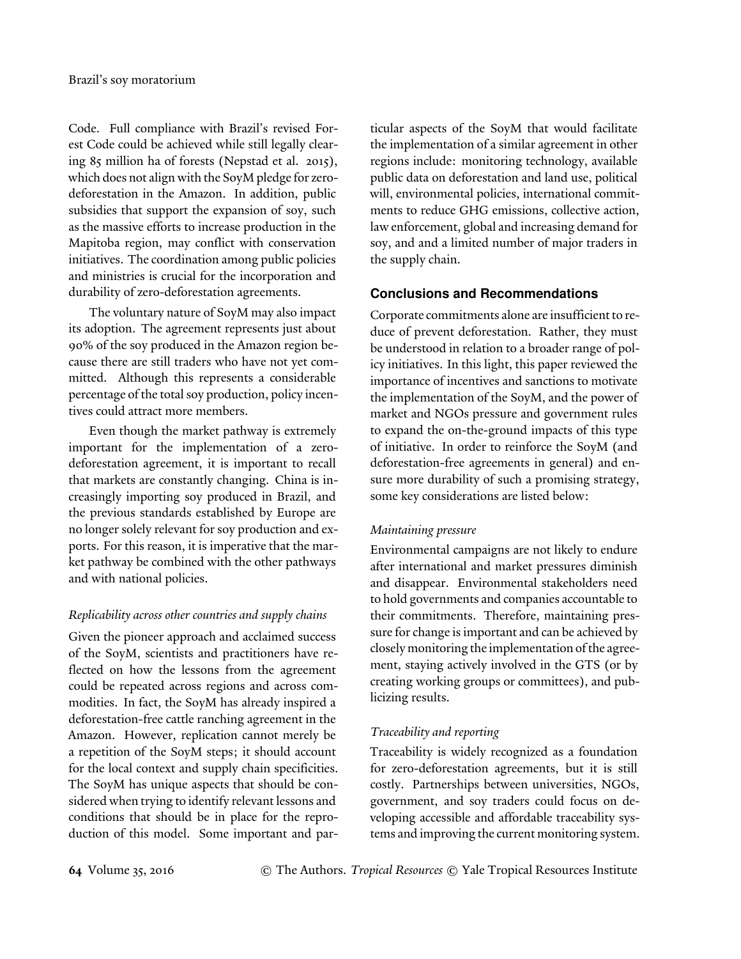Code. Full compliance with Brazil's revised Forest Code could be achieved while still legally clearing 85 million ha of forests (Nepstad et al. 2015), which does not align with the SoyM pledge for zerodeforestation in the Amazon. In addition, public subsidies that support the expansion of soy, such as the massive efforts to increase production in the Mapitoba region, may conflict with conservation initiatives. The coordination among public policies and ministries is crucial for the incorporation and durability of zero-deforestation agreements.

The voluntary nature of SoyM may also impact its adoption. The agreement represents just about 90% of the soy produced in the Amazon region because there are still traders who have not yet committed. Although this represents a considerable percentage of the total soy production, policy incentives could attract more members.

Even though the market pathway is extremely important for the implementation of a zerodeforestation agreement, it is important to recall that markets are constantly changing. China is increasingly importing soy produced in Brazil, and the previous standards established by Europe are no longer solely relevant for soy production and exports. For this reason, it is imperative that the market pathway be combined with the other pathways and with national policies.

## *Replicability across other countries and supply chains*

Given the pioneer approach and acclaimed success of the SoyM, scientists and practitioners have reflected on how the lessons from the agreement could be repeated across regions and across commodities. In fact, the SoyM has already inspired a deforestation-free cattle ranching agreement in the Amazon. However, replication cannot merely be a repetition of the SoyM steps; it should account for the local context and supply chain specificities. The SoyM has unique aspects that should be considered when trying to identify relevant lessons and conditions that should be in place for the reproduction of this model. Some important and particular aspects of the SoyM that would facilitate the implementation of a similar agreement in other regions include: monitoring technology, available public data on deforestation and land use, political will, environmental policies, international commitments to reduce GHG emissions, collective action, law enforcement, global and increasing demand for soy, and and a limited number of major traders in the supply chain.

## **Conclusions and Recommendations**

Corporate commitments alone are insufficient to reduce of prevent deforestation. Rather, they must be understood in relation to a broader range of policy initiatives. In this light, this paper reviewed the importance of incentives and sanctions to motivate the implementation of the SoyM, and the power of market and NGOs pressure and government rules to expand the on-the-ground impacts of this type of initiative. In order to reinforce the SoyM (and deforestation-free agreements in general) and ensure more durability of such a promising strategy, some key considerations are listed below:

## *Maintaining pressure*

Environmental campaigns are not likely to endure after international and market pressures diminish and disappear. Environmental stakeholders need to hold governments and companies accountable to their commitments. Therefore, maintaining pressure for change is important and can be achieved by closely monitoring the implementation of the agreement, staying actively involved in the GTS (or by creating working groups or committees), and publicizing results.

## *Traceability and reporting*

Traceability is widely recognized as a foundation for zero-deforestation agreements, but it is still costly. Partnerships between universities, NGOs, government, and soy traders could focus on developing accessible and affordable traceability systems and improving the current monitoring system.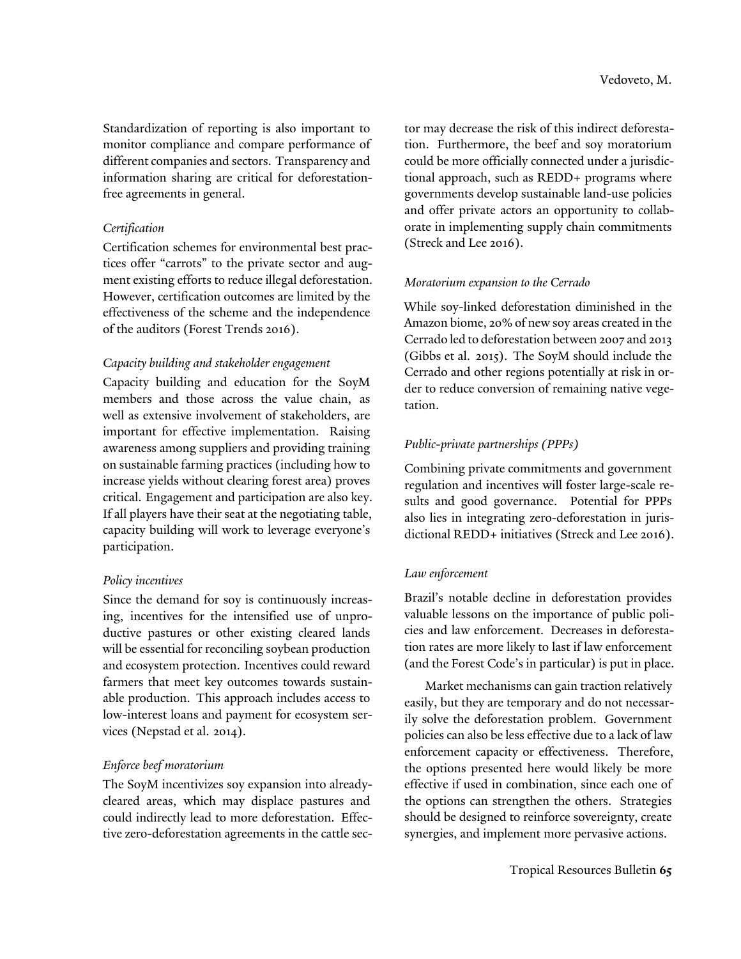Standardization of reporting is also important to monitor compliance and compare performance of different companies and sectors. Transparency and information sharing are critical for deforestationfree agreements in general.

#### *Certification*

Certification schemes for environmental best practices offer "carrots" to the private sector and augment existing efforts to reduce illegal deforestation. However, certification outcomes are limited by the effectiveness of the scheme and the independence of the auditors (Forest Trends 2016).

## *Capacity building and stakeholder engagement*

Capacity building and education for the SoyM members and those across the value chain, as well as extensive involvement of stakeholders, are important for effective implementation. Raising awareness among suppliers and providing training on sustainable farming practices (including how to increase yields without clearing forest area) proves critical. Engagement and participation are also key. If all players have their seat at the negotiating table, capacity building will work to leverage everyone's participation.

## *Policy incentives*

Since the demand for soy is continuously increasing, incentives for the intensified use of unproductive pastures or other existing cleared lands will be essential for reconciling soybean production and ecosystem protection. Incentives could reward farmers that meet key outcomes towards sustainable production. This approach includes access to low-interest loans and payment for ecosystem services (Nepstad et al. 2014).

## *Enforce beef moratorium*

The SoyM incentivizes soy expansion into alreadycleared areas, which may displace pastures and could indirectly lead to more deforestation. Effective zero-deforestation agreements in the cattle sector may decrease the risk of this indirect deforestation. Furthermore, the beef and soy moratorium could be more officially connected under a jurisdictional approach, such as REDD+ programs where governments develop sustainable land-use policies and offer private actors an opportunity to collaborate in implementing supply chain commitments (Streck and Lee 2016).

## *Moratorium expansion to the Cerrado*

While soy-linked deforestation diminished in the Amazon biome, 20% of new soy areas created in the Cerrado led to deforestation between 2007 and 2013 (Gibbs et al. 2015). The SoyM should include the Cerrado and other regions potentially at risk in order to reduce conversion of remaining native vegetation.

## *Public-private partnerships (PPPs)*

Combining private commitments and government regulation and incentives will foster large-scale results and good governance. Potential for PPPs also lies in integrating zero-deforestation in jurisdictional REDD+ initiatives (Streck and Lee 2016).

## *Law enforcement*

Brazil's notable decline in deforestation provides valuable lessons on the importance of public policies and law enforcement. Decreases in deforestation rates are more likely to last if law enforcement (and the Forest Code's in particular) is put in place.

Market mechanisms can gain traction relatively easily, but they are temporary and do not necessarily solve the deforestation problem. Government policies can also be less effective due to a lack of law enforcement capacity or effectiveness. Therefore, the options presented here would likely be more effective if used in combination, since each one of the options can strengthen the others. Strategies should be designed to reinforce sovereignty, create synergies, and implement more pervasive actions.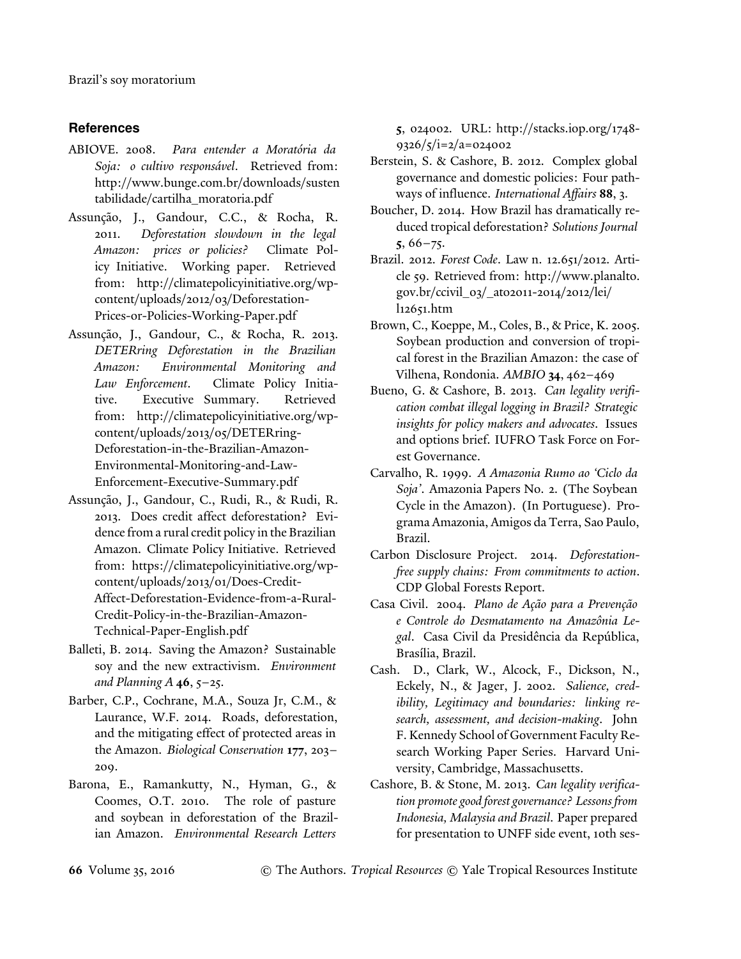# **References**

- ABIOVE. 2008. *Para entender a Moratória da Soja: o cultivo responsável*. Retrieved from: http://www.bunge.com.br/downloads/susten tabilidade/cartilha\_moratoria.pdf
- Assunção, J., Gandour, C.C., & Rocha, R. 2011. *Deforestation slowdown in the legal Amazon: prices or policies?* Climate Policy Initiative. Working paper. Retrieved from: http://climatepolicyinitiative.org/wpcontent/uploads/2012/03/Deforestation-Prices-or-Policies-Working-Paper.pdf
- Assunção, J., Gandour, C., & Rocha, R. 2013. *DETERring Deforestation in the Brazilian Amazon: Environmental Monitoring and Law Enforcement*. Climate Policy Initiative. Executive Summary. Retrieved from: http://climatepolicyinitiative.org/wpcontent/uploads/2013/05/DETERring-Deforestation-in-the-Brazilian-Amazon-Environmental-Monitoring-and-Law-Enforcement-Executive-Summary.pdf
- Assunção, J., Gandour, C., Rudi, R., & Rudi, R. 2013. Does credit affect deforestation? Evidence from a rural credit policy in the Brazilian Amazon. Climate Policy Initiative. Retrieved from: https://climatepolicyinitiative.org/wpcontent/uploads/2013/01/Does-Credit-Affect-Deforestation-Evidence-from-a-Rural-Credit-Policy-in-the-Brazilian-Amazon-Technical-Paper-English.pdf
- Balleti, B. 2014. Saving the Amazon? Sustainable soy and the new extractivism. *Environment and Planning A* **46**, 5–25.
- Barber, C.P., Cochrane, M.A., Souza Jr, C.M., & Laurance, W.F. 2014. Roads, deforestation, and the mitigating effect of protected areas in the Amazon. *Biological Conservation* **177**, 203– 209.
- Barona, E., Ramankutty, N., Hyman, G., & Coomes, O.T. 2010. The role of pasture and soybean in deforestation of the Brazilian Amazon. *Environmental Research Letters*

**5**, 024002. URL: http://stacks.iop.org/1748-  $9326/\frac{5}{1} = 2/\frac{a}{9} = 0.24002$ 

- Berstein, S. & Cashore, B. 2012. Complex global governance and domestic policies: Four pathways of influence. *International Affairs* **88**, 3.
- Boucher, D. 2014. How Brazil has dramatically reduced tropical deforestation? *Solutions Journal* **5**, 66–75.
- Brazil. 2012. *Forest Code*. Law n. 12.651/2012. Article 59. Retrieved from: http://www.planalto. gov.br/ccivil\_03/\_ato2011-2014/2012/lei/ l12651.htm
- Brown, C., Koeppe, M., Coles, B., & Price, K. 2005. Soybean production and conversion of tropical forest in the Brazilian Amazon: the case of Vilhena, Rondonia. *AMBIO* **34**, 462–469
- Bueno, G. & Cashore, B. 2013. *Can legality verification combat illegal logging in Brazil? Strategic insights for policy makers and advocates*. Issues and options brief. IUFRO Task Force on Forest Governance.
- Carvalho, R. 1999. *A Amazonia Rumo ao 'Ciclo da Soja'*. Amazonia Papers No. 2. (The Soybean Cycle in the Amazon). (In Portuguese). Programa Amazonia, Amigos da Terra, Sao Paulo, Brazil.
- Carbon Disclosure Project. 2014. *Deforestationfree supply chains: From commitments to action*. CDP Global Forests Report.
- Casa Civil. 2004. *Plano de Ação para a Prevenção e Controle do Desmatamento na Amazônia Legal*. Casa Civil da Presidência da República, Brasília, Brazil.
- Cash. D., Clark, W., Alcock, F., Dickson, N., Eckely, N., & Jager, J. 2002. *Salience, credibility, Legitimacy and boundaries: linking research, assessment, and decision-making*. John F. Kennedy School of Government Faculty Research Working Paper Series. Harvard University, Cambridge, Massachusetts.
- Cashore, B. & Stone, M. 2013. *Can legality verification promote good forest governance? Lessons from Indonesia, Malaysia and Brazil*. Paper prepared for presentation to UNFF side event, 10th ses-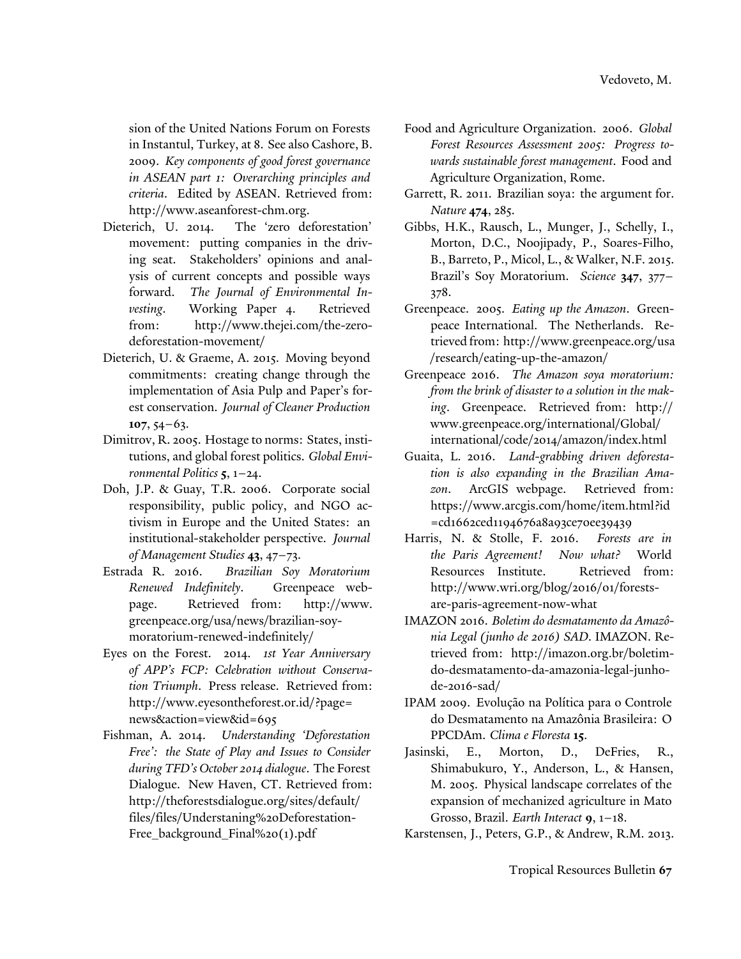sion of the United Nations Forum on Forests in Instantul, Turkey, at 8. See also Cashore, B. 2009. *Key components of good forest governance in ASEAN part 1: Overarching principles and criteria*. Edited by ASEAN. Retrieved from: http://www.aseanforest-chm.org.

- Dieterich, U. 2014. The 'zero deforestation' movement: putting companies in the driving seat. Stakeholders' opinions and analysis of current concepts and possible ways forward. *The Journal of Environmental Investing*. Working Paper 4. Retrieved from: http://www.thejei.com/the-zerodeforestation-movement/
- Dieterich, U. & Graeme, A. 2015. Moving beyond commitments: creating change through the implementation of Asia Pulp and Paper's forest conservation. *Journal of Cleaner Production* **107**, 54–63.
- Dimitrov, R. 2005. Hostage to norms: States, institutions, and global forest politics. *Global Environmental Politics* **5**, 1–24.
- Doh, J.P. & Guay, T.R. 2006. Corporate social responsibility, public policy, and NGO activism in Europe and the United States: an institutional-stakeholder perspective. *Journal of Management Studies* **43**, 47–73.
- Estrada R. 2016. *Brazilian Soy Moratorium Renewed Indefinitely*. Greenpeace webpage. Retrieved from: http://www. greenpeace.org/usa/news/brazilian-soymoratorium-renewed-indefinitely/
- Eyes on the Forest. 2014. *1st Year Anniversary of APP's FCP: Celebration without Conservation Triumph*. Press release. Retrieved from: http://www.eyesontheforest.or.id/?page= news&action=view&id=695
- Fishman, A. 2014. *Understanding 'Deforestation Free': the State of Play and Issues to Consider during TFD's October 2014 dialogue*. The Forest Dialogue. New Haven, CT. Retrieved from: http://theforestsdialogue.org/sites/default/ files/files/Understaning%20Deforestation-Free\_background\_Final%20(1).pdf
- Food and Agriculture Organization. 2006. *Global Forest Resources Assessment 2005: Progress towards sustainable forest management*. Food and Agriculture Organization, Rome.
- Garrett, R. 2011. Brazilian soya: the argument for. *Nature* **474**, 285.
- Gibbs, H.K., Rausch, L., Munger, J., Schelly, I., Morton, D.C., Noojipady, P., Soares-Filho, B., Barreto, P., Micol, L., & Walker, N.F. 2015. Brazil's Soy Moratorium. *Science* **347**, 377– 378.
- Greenpeace. 2005. *Eating up the Amazon*. Greenpeace International. The Netherlands. Retrieved from: http://www.greenpeace.org/usa /research/eating-up-the-amazon/
- Greenpeace 2016. *The Amazon soya moratorium: from the brink of disaster to a solution in the making*. Greenpeace. Retrieved from: http:// www.greenpeace.org/international/Global/ international/code/2014/amazon/index.html
- Guaita, L. 2016. *Land-grabbing driven deforestation is also expanding in the Brazilian Amazon*. ArcGIS webpage. Retrieved from: https://www.arcgis.com/home/item.html?id =cd1662ced1194676a8a93ce70ee39439
- Harris, N. & Stolle, F. 2016. *Forests are in the Paris Agreement! Now what?* World Resources Institute. Retrieved from: http://www.wri.org/blog/2016/01/forestsare-paris-agreement-now-what
- IMAZON 2016. *Boletim do desmatamento da Amazônia Legal (junho de 2016) SAD*. IMAZON. Retrieved from: http://imazon.org.br/boletimdo-desmatamento-da-amazonia-legal-junhode-2016-sad/
- IPAM 2009. Evolução na Política para o Controle do Desmatamento na Amazônia Brasileira: O PPCDAm. *Clima e Floresta* **15**.
- Jasinski, E., Morton, D., DeFries, R., Shimabukuro, Y., Anderson, L., & Hansen, M. 2005. Physical landscape correlates of the expansion of mechanized agriculture in Mato Grosso, Brazil. *Earth Interact* **9**, 1–18.
- Karstensen, J., Peters, G.P., & Andrew, R.M. 2013.

Tropical Resources Bulletin **67**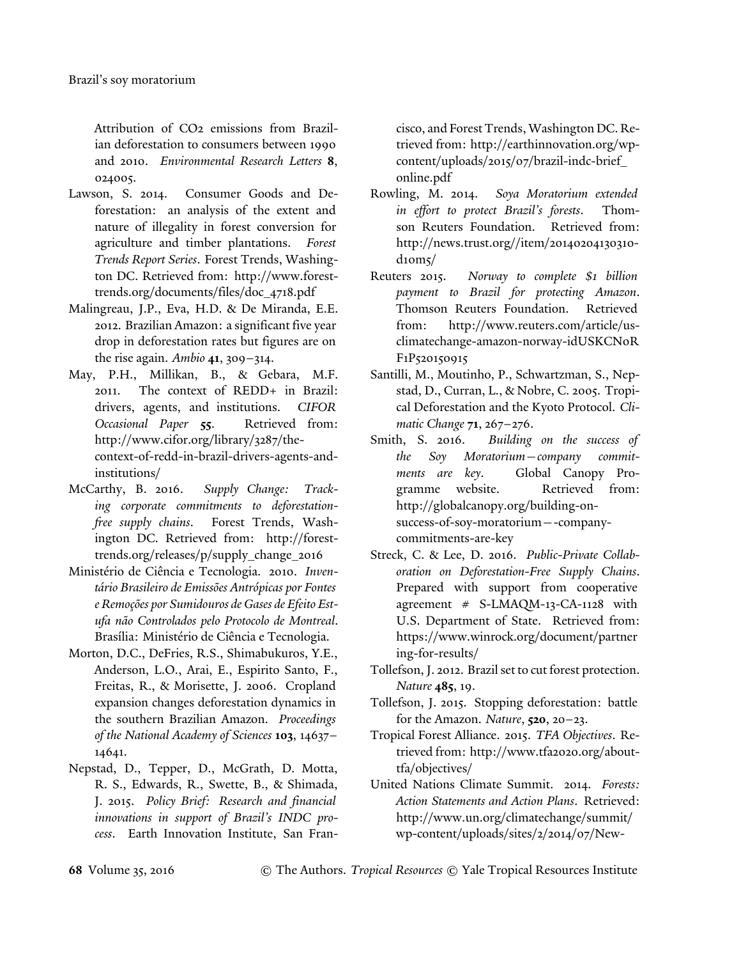Attribution of CO2 emissions from Brazilian deforestation to consumers between 1990 and 2010. *Environmental Research Letters* **8**, 024005.

- Lawson, S. 2014. Consumer Goods and Deforestation: an analysis of the extent and nature of illegality in forest conversion for agriculture and timber plantations. *Forest Trends Report Series*. Forest Trends, Washington DC. Retrieved from: http://www.foresttrends.org/documents/files/doc\_4718.pdf
- Malingreau, J.P., Eva, H.D. & De Miranda, E.E. 2012. Brazilian Amazon: a significant five year drop in deforestation rates but figures are on the rise again. *Ambio* **41**, 309–314.
- May, P.H., Millikan, B., & Gebara, M.F. 2011. The context of REDD+ in Brazil: drivers, agents, and institutions. *CIFOR Occasional Paper* **55**. Retrieved from: http://www.cifor.org/library/3287/thecontext-of-redd-in-brazil-drivers-agents-andinstitutions/
- McCarthy, B. 2016. *Supply Change: Tracking corporate commitments to deforestationfree supply chains*. Forest Trends, Washington DC. Retrieved from: http://foresttrends.org/releases/p/supply\_change\_2016
- Ministério de Ciência e Tecnologia. 2010. *Inventário Brasileiro de Emissões Antrópicas por Fontes e Remoções por Sumidouros de Gases de Efeito Estufa não Controlados pelo Protocolo de Montreal*. Brasília: Ministério de Ciência e Tecnologia.
- Morton, D.C., DeFries, R.S., Shimabukuros, Y.E., Anderson, L.O., Arai, E., Espirito Santo, F., Freitas, R., & Morisette, J. 2006. Cropland expansion changes deforestation dynamics in the southern Brazilian Amazon. *Proceedings of the National Academy of Sciences* **103**, 14637– 14641.
- Nepstad, D., Tepper, D., McGrath, D. Motta, R. S., Edwards, R., Swette, B., & Shimada, J. 2015. *Policy Brief: Research and financial innovations in support of Brazil's INDC process*. Earth Innovation Institute, San Fran-

cisco, and Forest Trends, Washington DC. Retrieved from: http://earthinnovation.org/wpcontent/uploads/2015/07/brazil-indc-brief\_ online.pdf

- Rowling, M. 2014. *Soya Moratorium extended in effort to protect Brazil's forests*. Thomson Reuters Foundation. Retrieved from: http://news.trust.org//item/20140204130310 d10m5/
- Reuters 2015. *Norway to complete \$1 billion payment to Brazil for protecting Amazon*. Thomson Reuters Foundation. Retrieved from: http://www.reuters.com/article/usclimatechange-amazon-norway-idUSKCN0R F1P520150915
- Santilli, M., Moutinho, P., Schwartzman, S., Nepstad, D., Curran, L., & Nobre, C. 2005. Tropical Deforestation and the Kyoto Protocol. *Climatic Change* **71**, 267–276.
- Smith, S. 2016. *Building on the success of the Soy Moratorium—company commitments are key*. Global Canopy Programme website. Retrieved from: http://globalcanopy.org/building-onsuccess-of-soy-moratorium—-companycommitments-are-key
- Streck, C. & Lee, D. 2016. *Public-Private Collaboration on Deforestation-Free Supply Chains*. Prepared with support from cooperative agreement # S-LMAQM-13-CA-1128 with U.S. Department of State. Retrieved from: https://www.winrock.org/document/partner ing-for-results/
- Tollefson, J. 2012. Brazil set to cut forest protection. *Nature* **485**, 19.
- Tollefson, J. 2015. Stopping deforestation: battle for the Amazon. *Nature*, **520**, 20–23.
- Tropical Forest Alliance. 2015. *TFA Objectives*. Retrieved from: http://www.tfa2020.org/abouttfa/objectives/
- United Nations Climate Summit. 2014. *Forests: Action Statements and Action Plans*. Retrieved: http://www.un.org/climatechange/summit/ wp-content/uploads/sites/2/2014/07/New-